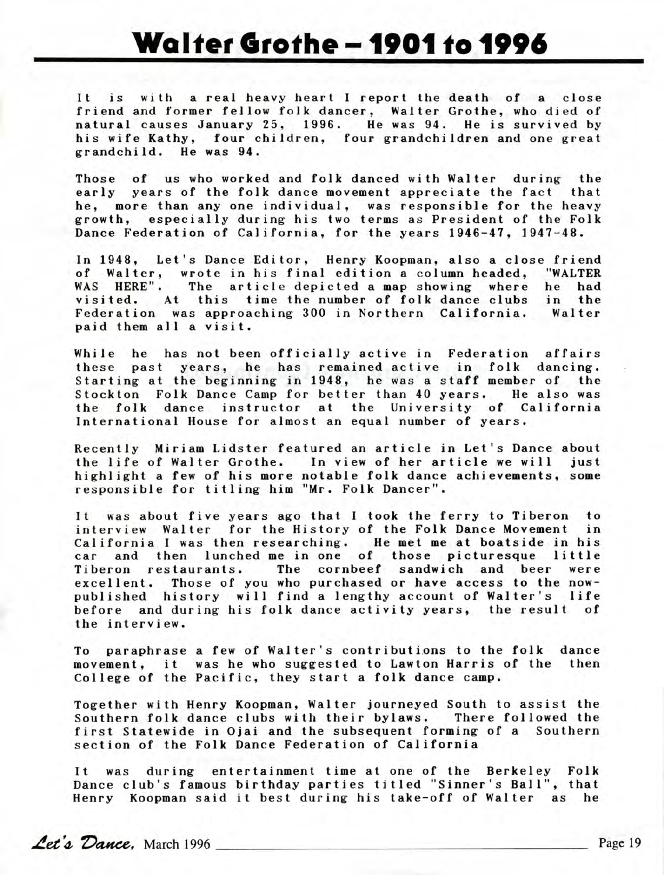## **Walter Grothe -1901 to 1996**

It is with a real heavy heart I report the death of a close friend and former fellow folk dancer, Walter Grothe, who died of natural causes January 25, 1996. He was 94. He is survived by his wife Kathy, four children, four grandchildren and one great grandchild. He was 94.

Those of us who worked and folk danced with Walter during the early years of the folk dance movement appreciate the fact that he, more than any one individual, was responsible for the heavy growth, especially during his two terms as President of the Folk Dance Federation of California, for the years 1946-47, 1947-48.

In 1948, Let's Dance Editor, Henry Koopman, also a close friend of Walter, wrote in his final edition a column headed, "WALTER WAS HERE". The article depicted a map showing where he had visited. At this time the number of folk dance clubs in the Federation was approaching 300 in Northern California. Walter paid them all a visit .

While he has not been officially active in Federation affairs these past years, he has remained active in folk dancing. Starting at the beginning in 1948, he was a staff member of the Stockton Folk Dance Camp for better than 40 years. He also was the folk dance instructor at the University of California International House for almost an equal number of years.

Recently Miriam Lidster featured an article in Let's Dance about the life of Walter Grothe. In view of her article we will just highlight a few of his more notable folk dance achievements, some responsible for titling him "Mr. Folk Dancer".

It was about five years ago that I took the ferry to Tiberon to interview Walter for the History of the Folk Dance Movement in California I was then researching. He met me at boatside in his car and then lunched me in one of those picturesque little Tiberon restaurants. The cornbeef sandwich and beer were excellent. Those of you who purchased or have access to the nowpublished history will find a lengthy account of Walter's life before and during his folk dance activity years, the result of the interview.

To paraphrase a few of Walter's contributions to the folk dance movement, it was he who suggested to Lawton Harris of the then College of the Pacific, they start a folk dance camp.

Together with Henry Koopman, Walter journeyed South to assist the Southern folk dance clubs with their bylaws. There followed the first Statewide in Ojai and the subsequent forming of a Southern section of the Folk Dance Federation of California

It was during entertainment time at one of the Berkeley Folk Dance club's famous birthday parties titled "Sinner's Ball", that Henry Koopman said it best during his take-off of Walter as he